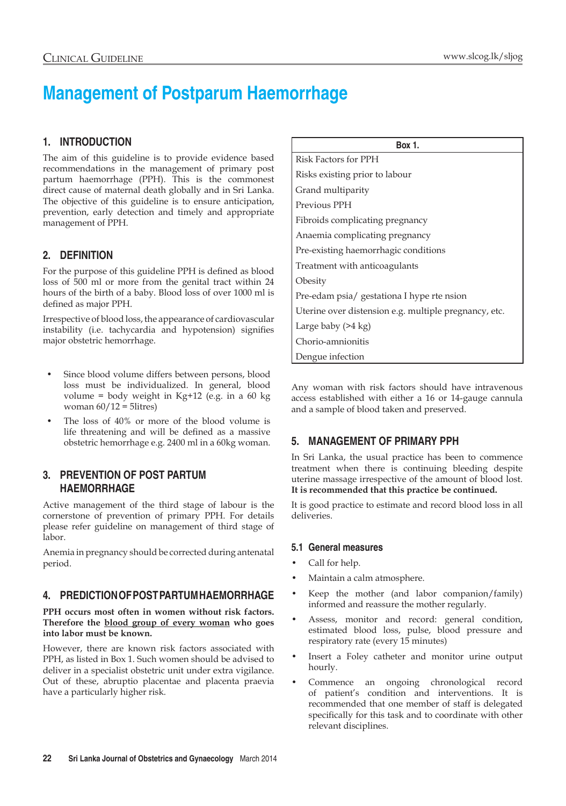# **Management of Postparum Haemorrhage**

# **1. Introduction**

The aim of this guideline is to provide evidence based recommendations in the management of primary post partum haemorrhage (PPH). This is the commonest direct cause of maternal death globally and in Sri Lanka. The objective of this guideline is to ensure anticipation, prevention, early detection and timely and appropriate management of PPH.

## **2. Definition**

For the purpose of this guideline PPH is defined as blood loss of 500 ml or more from the genital tract within 24 hours of the birth of a baby. Blood loss of over 1000 ml is defined as major PPH.

Irrespective of blood loss, the appearance of cardiovascular instability (i.e. tachycardia and hypotension) signifies major obstetric hemorrhage.

- Since blood volume differs between persons, blood loss must be individualized. In general, blood volume = body weight in Kg+12 (e.g. in a 60 kg woman  $60/12 = 5$ litres)
- The loss of 40% or more of the blood volume is life threatening and will be defined as a massive obstetric hemorrhage e.g. 2400 ml in a 60kg woman.

## **3. PREVENTION OF POST PARTUM HAEMORRHAGE**

Active management of the third stage of labour is the cornerstone of prevention of primary PPH. For details please refer guideline on management of third stage of labor.

Anemia in pregnancy should be corrected during antenatal period.

## **4. PREDICTION OF POST PARTUM HAEMORRHAGE**

**PPH occurs most often in women without risk factors. Therefore the blood group of every woman who goes into labor must be known.**

However, there are known risk factors associated with PPH, as listed in Box 1. Such women should be advised to deliver in a specialist obstetric unit under extra vigilance. Out of these, abruptio placentae and placenta praevia have a particularly higher risk.

| <b>Box 1.</b>                                         |
|-------------------------------------------------------|
| Risk Factors for PPH                                  |
| Risks existing prior to labour                        |
| Grand multiparity                                     |
| Previous PPH                                          |
| Fibroids complicating pregnancy                       |
| Anaemia complicating pregnancy                        |
| Pre-existing haemorrhagic conditions                  |
| Treatment with anticoagulants                         |
| Obesity                                               |
| Pre-edam psia/ gestationa I hype rte nsion            |
| Uterine over distension e.g. multiple pregnancy, etc. |
| Large baby $($ >4 kg $)$                              |
| Chorio-amnionitis                                     |
| Dengue infection                                      |

Any woman with risk factors should have intravenous access established with either a 16 or 14-gauge cannula and a sample of blood taken and preserved.

## **5. MANAGEMENT OF PRIMARY PPH**

In Sri Lanka, the usual practice has been to commence treatment when there is continuing bleeding despite uterine massage irrespective of the amount of blood lost. **It is recommended that this practice be continued.**

It is good practice to estimate and record blood loss in all deliveries.

## **5.1 General measures**

- Call for help.
- Maintain a calm atmosphere.
- Keep the mother (and labor companion/family) informed and reassure the mother regularly.
- Assess, monitor and record: general condition, estimated blood loss, pulse, blood pressure and respiratory rate (every 15 minutes)
- Insert a Foley catheter and monitor urine output hourly.
- Commence an ongoing chronological record of patient's condition and interventions. It is recommended that one member of staff is delegated specifically for this task and to coordinate with other relevant disciplines.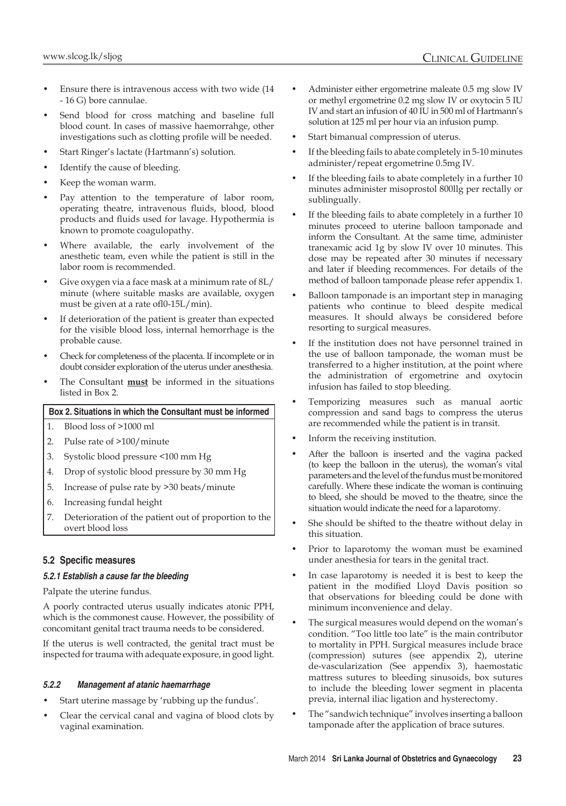- Ensure there is intravenous access with two wide (14 - 16 G) bore cannulae.
- Send blood for cross matching and baseline full blood count. In cases of massive haemorrahge, other investigations such as clotting profile will be needed.
- Start Ringer's lactate (Hartmann's) solution.
- Identify the cause of bleeding.
- Keep the woman warm.
- Pay attention to the temperature of labor room, operating theatre, intravenous fluids, blood, blood products and fluids used for lavage. Hypothermia is known to promote coagulopathy.
- Where available, the early involvement of the anesthetic team, even while the patient is still in the labor room is recommended.
- Give oxygen via a face mask at a minimum rate of 8L/ minute (where suitable masks are available, oxygen must be given at a rate ofl0-15L/min).
- If deterioration of the patient is greater than expected for the visible blood loss, internal hemorrhage is the probable cause.
- Check for completeness of the placenta. If incomplete or in doubt consider exploration of the uterus under anesthesia.
- The Consultant **must** be informed in the situations listed in Box 2.

### **Box 2. Situations in which the Consultant must be informed**

- 1. Blood loss of >1000 ml
- 2. Pulse rate of >100/minute
- 3. Systolic blood pressure <100 mm Hg
- 4. Drop of systolic blood pressure by 30 mm Hg
- 5. Increase of pulse rate by >30 beats/minute
- 6. Increasing fundal height
- 7. Deterioration of the patient out of proportion to the overt blood loss

## **5.2 Specific measures**

#### *5.2.1 Establish a cause far the bleeding*

Palpate the uterine fundus.

A poorly contracted uterus usually indicates atonic PPH, which is the commonest cause. However, the possibility of concomitant genital tract trauma needs to be considered.

If the uterus is well contracted, the genital tract must be inspected for trauma with adequate exposure, in good light.

#### *5.2.2 Management af atanic haemarrhage*

- Start uterine massage by 'rubbing up the fundus'.
- Clear the cervical canal and vagina of blood clots by vaginal examination.
- Administer either ergometrine maleate 0.5 mg slow IV or methyl ergometrine 0.2 mg slow IV or oxytocin 5 IU IV and start an infusion of 40 IU in 500 ml of Hartmann's solution at 125 ml per hour via an infusion pump.
- Start bimanual compression of uterus.
- If the bleeding fails to abate completely in 5-10 minutes administer/repeat ergometrine 0.5mg IV.
- If the bleeding fails to abate completely in a further 10 minutes administer misoprostol 800llg per rectally or sublingually.
- If the bleeding fails to abate completely in a further 10 minutes proceed to uterine balloon tamponade and inform the Consultant. At the same time, administer tranexamic acid 1g by slow IV over 10 minutes. This dose may be repeated after 30 minutes if necessary and later if bleeding recommences. For details of the method of balloon tamponade please refer appendix 1.
- Balloon tamponade is an important step in managing patients who continue to bleed despite medical measures. It should always be considered before resorting to surgical measures.
- If the institution does not have personnel trained in the use of balloon tamponade, the woman must be transferred to a higher institution, at the point where the administration of ergometrine and oxytocin infusion has failed to stop bleeding.
- Temporizing measures such as manual aortic compression and sand bags to compress the uterus are recommended while the patient is in transit.
- Inform the receiving institution.
- After the balloon is inserted and the vagina packed (to keep the balloon in the uterus), the woman's vital parameters and the level of the fundus must be monitored carefully. Where these indicate the woman is continuing to bleed, she should be moved to the theatre, since the situation would indicate the need for a laparotomy.
- She should be shifted to the theatre without delay in this situation.
- Prior to laparotomy the woman must be examined under anesthesia for tears in the genital tract.
- In case laparotomy is needed it is best to keep the patient in the modified Lloyd Davis position so that observations for bleeding could be done with minimum inconvenience and delay.
- The surgical measures would depend on the woman's condition. "Too little too late" is the main contributor to mortality in PPH. Surgical measures include brace (compression) sutures (see appendix 2), uterine de-vascularization (See appendix 3), haemostatic mattress sutures to bleeding sinusoids, box sutures to include the bleeding lower segment in placenta previa, internal iliac ligation and hysterectomy.
- The "sandwich technique" involves inserting a balloon tamponade after the application of brace sutures.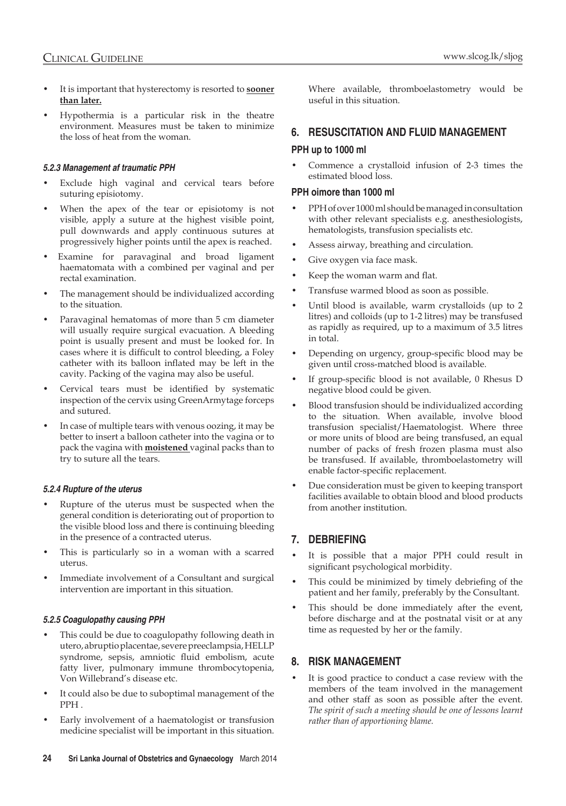- It is important that hysterectomy is resorted to **sooner than later.**
- Hypothermia is a particular risk in the theatre environment. Measures must be taken to minimize the loss of heat from the woman.

## *5.2.3 Management af traumatic PPH*

- Exclude high vaginal and cervical tears before suturing episiotomy.
- When the apex of the tear or episiotomy is not visible, apply a suture at the highest visible point, pull downwards and apply continuous sutures at progressively higher points until the apex is reached.
- Examine for paravaginal and broad ligament haematomata with a combined per vaginal and per rectal examination.
- The management should be individualized according to the situation.
- Paravaginal hematomas of more than 5 cm diameter will usually require surgical evacuation. A bleeding point is usually present and must be looked for. In cases where it is difficult to control bleeding, a Foley catheter with its balloon inflated may be left in the cavity. Packing of the vagina may also be useful.
- Cervical tears must be identified by systematic inspection of the cervix using GreenArmytage forceps and sutured.
- In case of multiple tears with venous oozing, it may be better to insert a balloon catheter into the vagina or to pack the vagina with **moistened** vaginal packs than to try to suture all the tears.

#### *5.2.4 Rupture of the uterus*

- Rupture of the uterus must be suspected when the general condition is deteriorating out of proportion to the visible blood loss and there is continuing bleeding in the presence of a contracted uterus.
- This is particularly so in a woman with a scarred uterus.
- Immediate involvement of a Consultant and surgical intervention are important in this situation.

## *5.2.5 Coagulopathy causing PPH*

- This could be due to coagulopathy following death in utero, abruptio placentae, severe preeclampsia, HELLP syndrome, sepsis, amniotic fluid embolism, acute fatty liver, pulmonary immune thrombocytopenia, Von Willebrand's disease etc.
- It could also be due to suboptimal management of the PPH .
- Early involvement of a haematologist or transfusion medicine specialist will be important in this situation.

Where available, thromboelastometry would be useful in this situation.

## **6. Resuscitation and Fluid management**

## **PPH up to 1000 ml**

• Commence a crystalloid infusion of 2-3 times the estimated blood loss.

## **PPH oimore than 1000 ml**

- PPH of over 1000 ml should be managed in consultation with other relevant specialists e.g. anesthesiologists, hematologists, transfusion specialists etc.
- Assess airway, breathing and circulation.
- Give oxygen via face mask.
- Keep the woman warm and flat.
- Transfuse warmed blood as soon as possible.
- Until blood is available, warm crystalloids (up to 2 litres) and colloids (up to 1-2 litres) may be transfused as rapidly as required, up to a maximum of 3.5 litres in total.
- Depending on urgency, group-specific blood may be given until cross-matched blood is available.
- If group-specific blood is not available, 0 Rhesus D negative blood could be given.
- Blood transfusion should be individualized according to the situation. When available, involve blood transfusion specialist/Haematologist. Where three or more units of blood are being transfused, an equal number of packs of fresh frozen plasma must also be transfused. If available, thromboelastometry will enable factor-specific replacement.
- Due consideration must be given to keeping transport facilities available to obtain blood and blood products from another institution.

## **7. Debriefing**

- It is possible that a major PPH could result in significant psychological morbidity.
- This could be minimized by timely debriefing of the patient and her family, preferably by the Consultant.
- This should be done immediately after the event, before discharge and at the postnatal visit or at any time as requested by her or the family.

## **8. Risk Management**

It is good practice to conduct a case review with the members of the team involved in the management and other staff as soon as possible after the event. *The spirit of such a meeting should be one of lessons learnt rather than of apportioning blame.*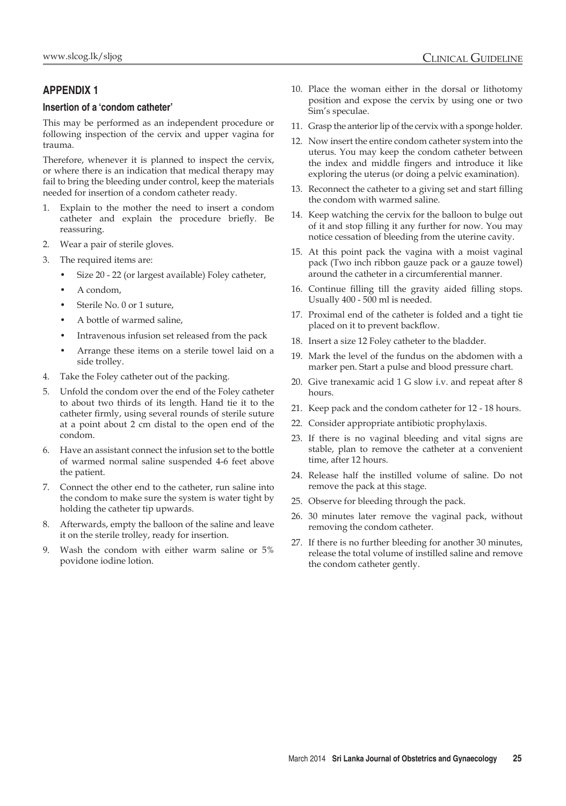## **Appendix 1**

## **Insertion of a 'condom catheter'**

This may be performed as an independent procedure or following inspection of the cervix and upper vagina for trauma.

Therefore, whenever it is planned to inspect the cervix, or where there is an indication that medical therapy may fail to bring the bleeding under control, keep the materials needed for insertion of a condom catheter ready.

- 1. Explain to the mother the need to insert a condom catheter and explain the procedure briefly. Be reassuring.
- 2. Wear a pair of sterile gloves.
- 3. The required items are:
	- Size 20 22 (or largest available) Foley catheter,
	- A condom,
	- Sterile No. 0 or 1 suture,
	- A bottle of warmed saline,
	- Intravenous infusion set released from the pack
	- Arrange these items on a sterile towel laid on a side trolley.
- 4. Take the Foley catheter out of the packing.
- 5. Unfold the condom over the end of the Foley catheter to about two thirds of its length. Hand tie it to the catheter firmly, using several rounds of sterile suture at a point about 2 cm distal to the open end of the condom.
- 6. Have an assistant connect the infusion set to the bottle of warmed normal saline suspended 4-6 feet above the patient.
- 7. Connect the other end to the catheter, run saline into the condom to make sure the system is water tight by holding the catheter tip upwards.
- 8. Afterwards, empty the balloon of the saline and leave it on the sterile trolley, ready for insertion.
- 9. Wash the condom with either warm saline or 5% povidone iodine lotion.
- 10. Place the woman either in the dorsal or lithotomy position and expose the cervix by using one or two Sim's speculae.
- 11. Grasp the anterior lip of the cervix with a sponge holder.
- 12. Now insert the entire condom catheter system into the uterus. You may keep the condom catheter between the index and middle fingers and introduce it like exploring the uterus (or doing a pelvic examination).
- 13. Reconnect the catheter to a giving set and start filling the condom with warmed saline.
- 14. Keep watching the cervix for the balloon to bulge out of it and stop filling it any further for now. You may notice cessation of bleeding from the uterine cavity.
- 15. At this point pack the vagina with a moist vaginal pack (Two inch ribbon gauze pack or a gauze towel) around the catheter in a circumferential manner.
- 16. Continue filling till the gravity aided filling stops. Usually 400 - 500 ml is needed.
- 17. Proximal end of the catheter is folded and a tight tie placed on it to prevent backflow.
- 18. Insert a size 12 Foley catheter to the bladder.
- 19. Mark the level of the fundus on the abdomen with a marker pen. Start a pulse and blood pressure chart.
- 20. Give tranexamic acid 1 G slow i.v. and repeat after 8 hours.
- 21. Keep pack and the condom catheter for 12 18 hours.
- 22. Consider appropriate antibiotic prophylaxis.
- 23. If there is no vaginal bleeding and vital signs are stable, plan to remove the catheter at a convenient time, after 12 hours.
- 24. Release half the instilled volume of saline. Do not remove the pack at this stage.
- 25. Observe for bleeding through the pack.
- 26. 30 minutes later remove the vaginal pack, without removing the condom catheter.
- 27. If there is no further bleeding for another 30 minutes, release the total volume of instilled saline and remove the condom catheter gently.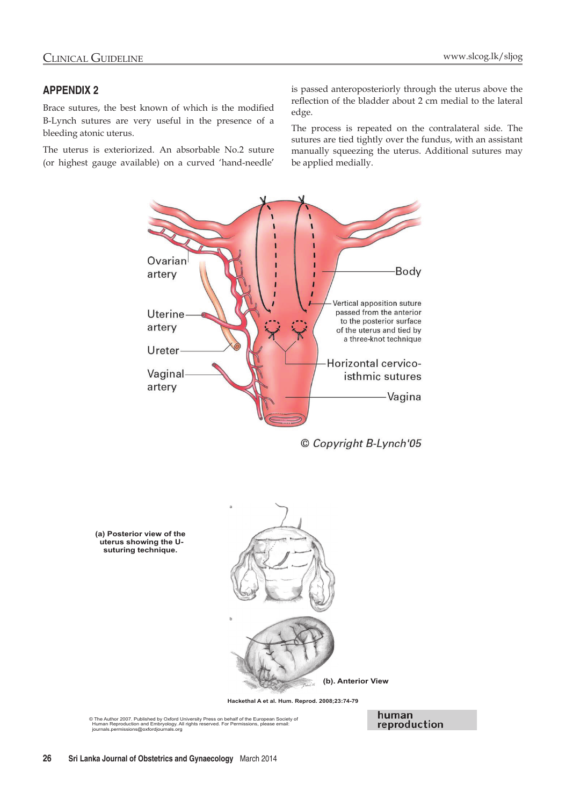## **Appendix 2**

Brace sutures, the best known of which is the modified B-Lynch sutures are very useful in the presence of a bleeding atonic uterus.

The uterus is exteriorized. An absorbable No.2 suture (or highest gauge available) on a curved 'hand-needle'

is passed anteroposteriorly through the uterus above the reflection of the bladder about 2 cm medial to the lateral edge.

The process is repeated on the contralateral side. The sutures are tied tightly over the fundus, with an assistant manually squeezing the uterus. Additional sutures may be applied medially.



© Copyright B-Lynch'05



**Hackethal A et al. Hum. Reprod. 2008;23:74-79** 

© The Author 2007. Published by Oxford University Press on behalf of the European Society of Human Reproduction and Embryology. All rights reserved. For Permissions, please email: journals.permissions@oxfordjournals.org

human reproduction